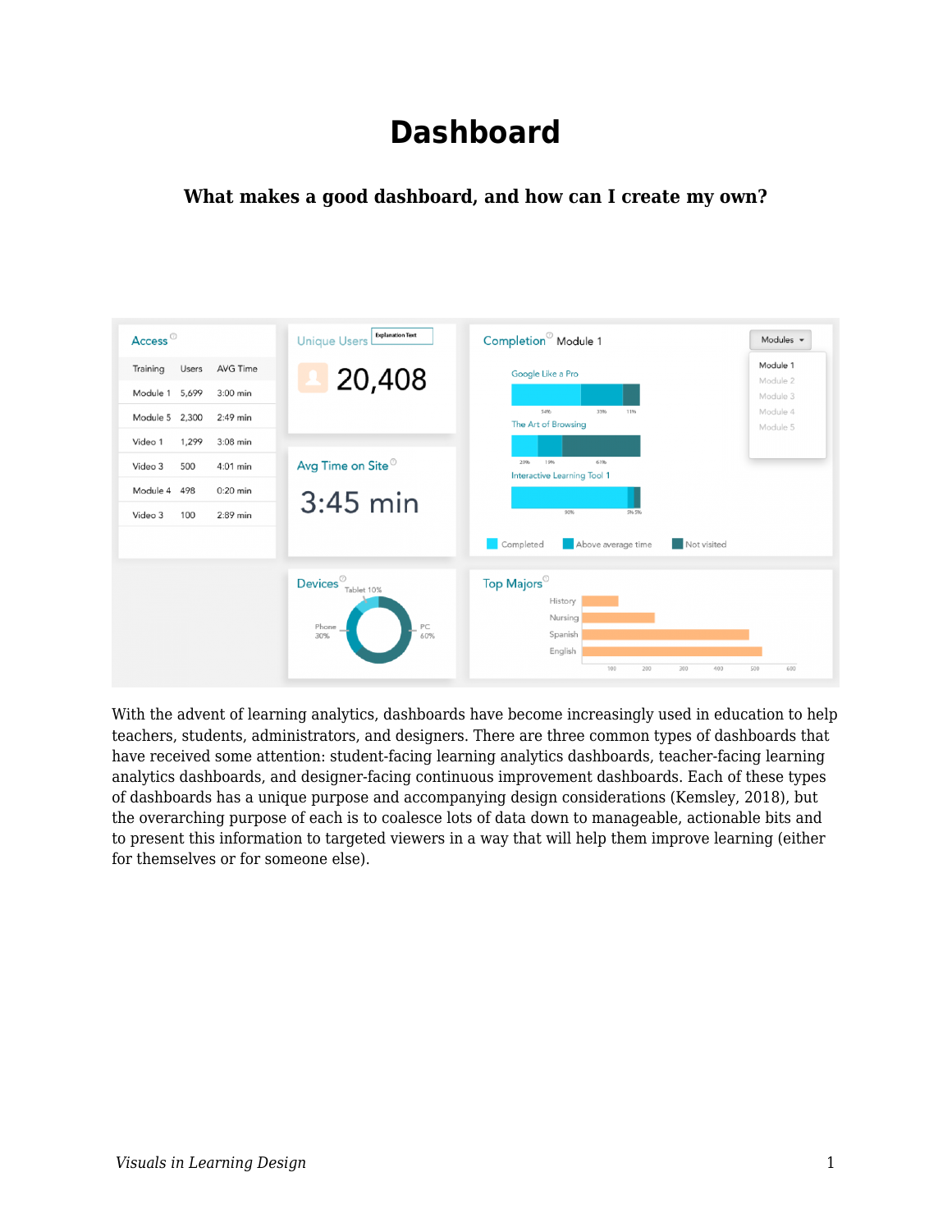# **Dashboard**

#### **What makes a good dashboard, and how can I create my own?**



With the advent of learning analytics, dashboards have become increasingly used in education to help teachers, students, administrators, and designers. There are three common types of dashboards that have received some attention: student-facing learning analytics dashboards, teacher-facing learning analytics dashboards, and designer-facing continuous improvement dashboards. Each of these types of dashboards has a unique purpose and accompanying design considerations (Kemsley, 2018), but the overarching purpose of each is to coalesce lots of data down to manageable, actionable bits and to present this information to targeted viewers in a way that will help them improve learning (either for themselves or for someone else).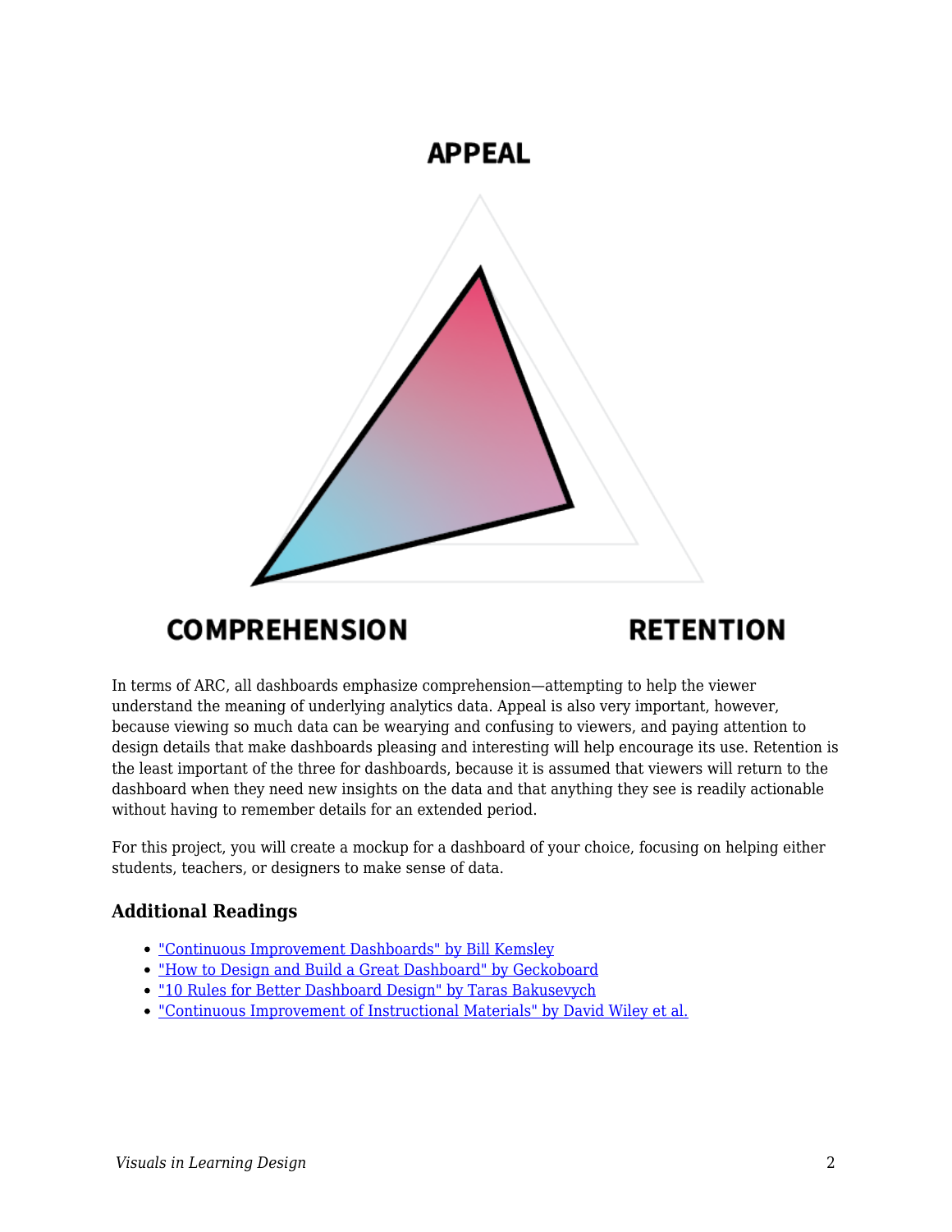

# **COMPREHENSION**

# **RETENTION**

In terms of ARC, all dashboards emphasize comprehension—attempting to help the viewer understand the meaning of underlying analytics data. Appeal is also very important, however, because viewing so much data can be wearying and confusing to viewers, and paying attention to design details that make dashboards pleasing and interesting will help encourage its use. Retention is the least important of the three for dashboards, because it is assumed that viewers will return to the dashboard when they need new insights on the data and that anything they see is readily actionable without having to remember details for an extended period.

For this project, you will create a mockup for a dashboard of your choice, focusing on helping either students, teachers, or designers to make sense of data.

#### **Additional Readings**

- ["Continuous Improvement Dashboards" by Bill Kemsley](https://edtechbooks.org/studentguide/continuous_improvement)
- ["How to Design and Build a Great Dashboard" by Geckoboard](https://www.geckoboard.com/best-practice/dashboard-design/)
- ["10 Rules for Better Dashboard Design" by Taras Bakusevych](https://uxplanet.org/10-rules-for-better-dashboard-design-ef68189d734c)
- ["Continuous Improvement of Instructional Materials" by David Wiley et al.](https://edtechbooks.org/id/continuous_improvement)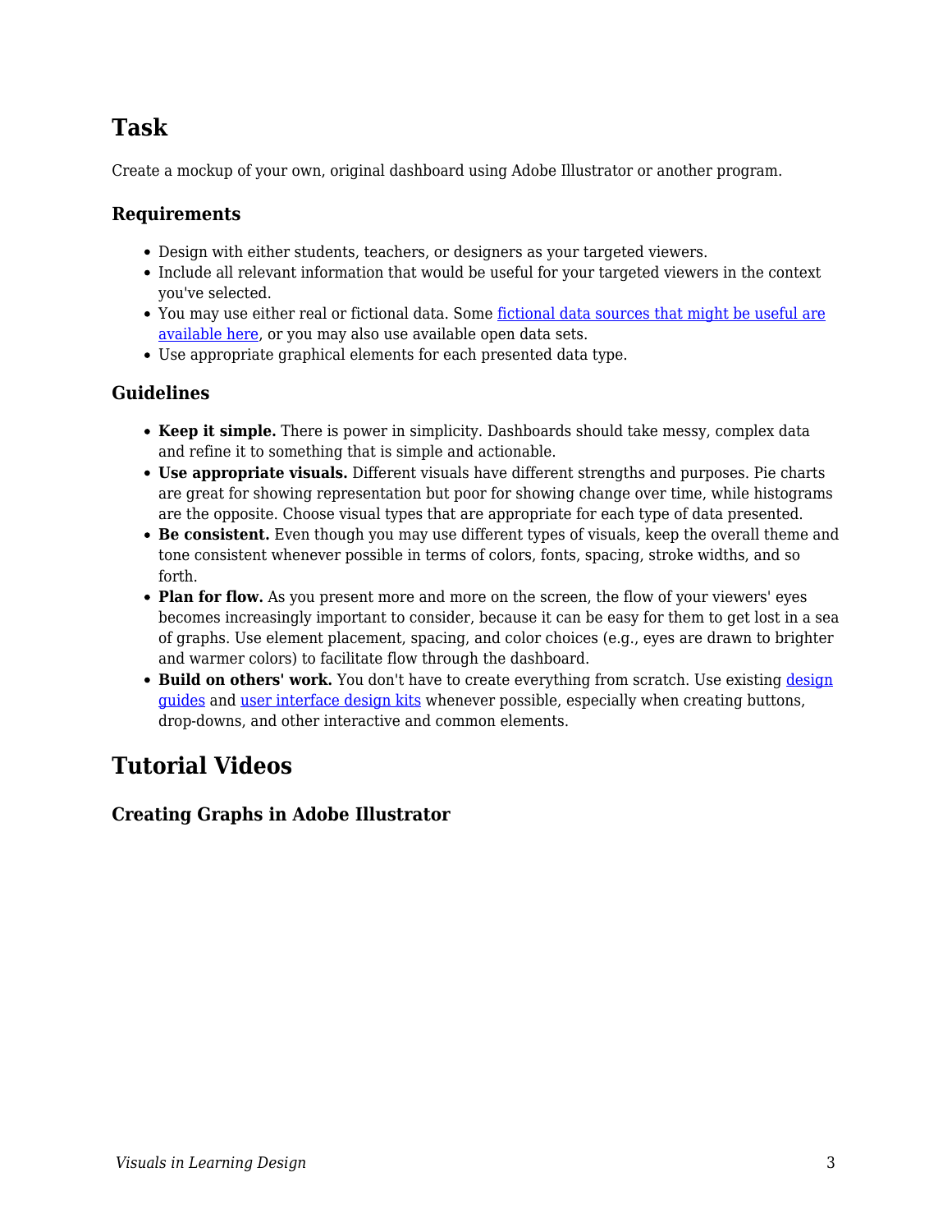### **Task**

Create a mockup of your own, original dashboard using Adobe Illustrator or another program.

#### **Requirements**

- Design with either students, teachers, or designers as your targeted viewers.
- Include all relevant information that would be useful for your targeted viewers in the context you've selected.
- You may use either real or fictional data. Some [fictional data sources that might be useful are](http://roycekimmons.com/tools/generated_data) [available here](http://roycekimmons.com/tools/generated_data), or you may also use available open data sets.
- Use appropriate graphical elements for each presented data type.

#### **Guidelines**

- **Keep it simple.** There is power in simplicity. Dashboards should take messy, complex data and refine it to something that is simple and actionable.
- **Use appropriate visuals.** Different visuals have different strengths and purposes. Pie charts are great for showing representation but poor for showing change over time, while histograms are the opposite. Choose visual types that are appropriate for each type of data presented.
- **Be consistent.** Even though you may use different types of visuals, keep the overall theme and tone consistent whenever possible in terms of colors, fonts, spacing, stroke widths, and so forth.
- Plan for flow. As you present more and more on the screen, the flow of your viewers' eyes becomes increasingly important to consider, because it can be easy for them to get lost in a sea of graphs. Use element placement, spacing, and color choices (e.g., eyes are drawn to brighter and warmer colors) to facilitate flow through the dashboard.
- **Build on others' work.** You don't have to create everything from scratch. Use existing [design](https://edtechbooks.org/design/design_guides) [guides](https://edtechbooks.org/design/design_guides) and [user interface design kits](https://edtechbooks.org/design/user_interface_design_kits) whenever possible, especially when creating buttons, drop-downs, and other interactive and common elements.

# **Tutorial Videos**

**Creating Graphs in Adobe Illustrator**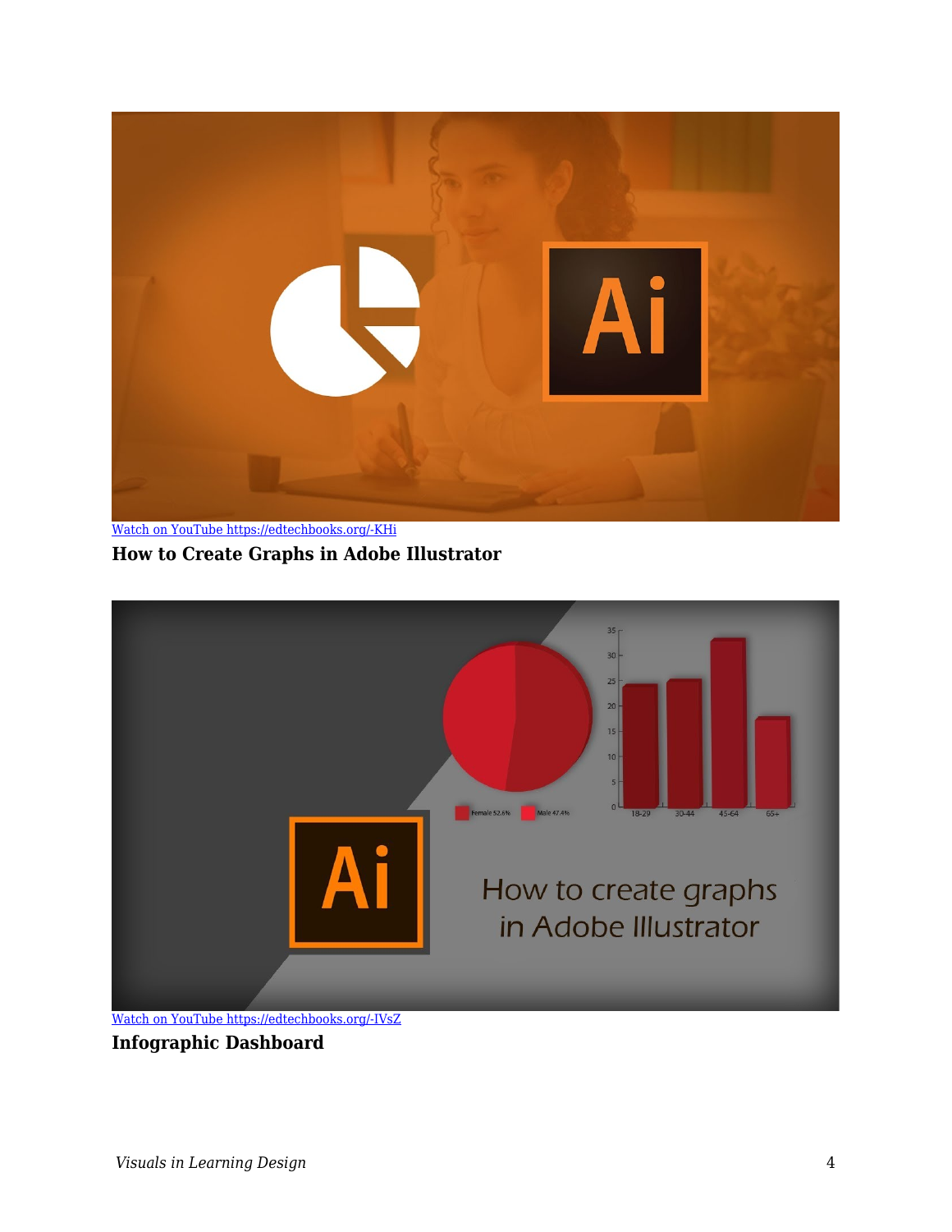

[Watch on YouTube https://edtechbooks.org/-KHi](https://www.youtube.com/embed/Gk5cjDetViM?autoplay=1&rel=0&showinfo=0&modestbranding=1) **How to Create Graphs in Adobe Illustrator**



**Infographic Dashboard**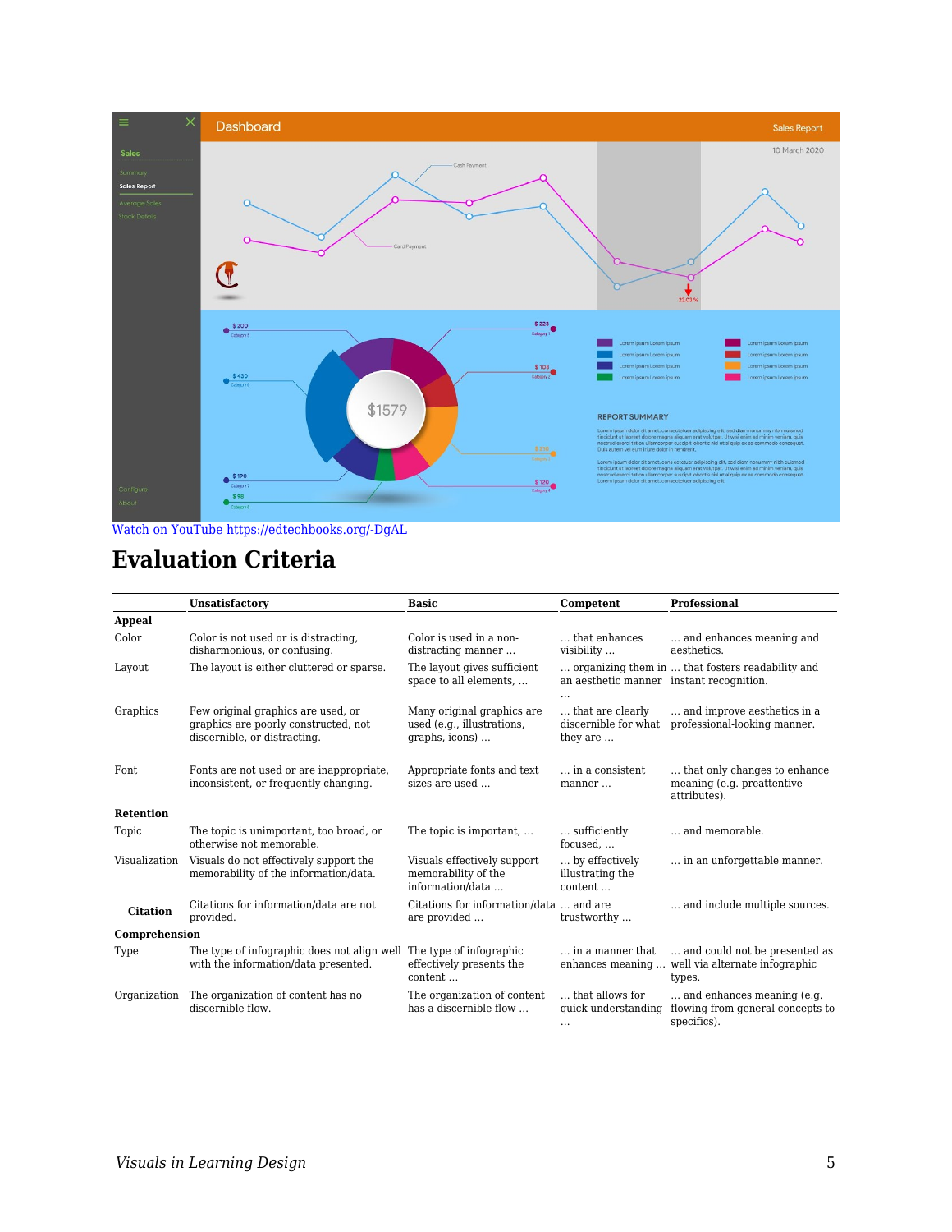

[Watch on YouTube https://edtechbooks.org/-DgAL](https://www.youtube.com/embed/ymd3HszfZfs?autoplay=1&rel=0&showinfo=0&modestbranding=1)

### **Evaluation Criteria**

|                  | <b>Unsatisfactory</b>                                                                                      | <b>Basic</b>                                                               | Competent                                                   | <b>Professional</b>                                                           |
|------------------|------------------------------------------------------------------------------------------------------------|----------------------------------------------------------------------------|-------------------------------------------------------------|-------------------------------------------------------------------------------|
| <b>Appeal</b>    |                                                                                                            |                                                                            |                                                             |                                                                               |
| Color            | Color is not used or is distracting.<br>disharmonious, or confusing.                                       | Color is used in a non-<br>distracting manner                              | that enhances<br>visibility                                 | and enhances meaning and<br>aesthetics.                                       |
| Layout           | The layout is either cluttered or sparse.                                                                  | The layout gives sufficient<br>space to all elements,                      | an aesthetic manner instant recognition.<br>$\cdot$ $\cdot$ | organizing them in  that fosters readability and                              |
| Graphics         | Few original graphics are used, or<br>graphics are poorly constructed, not<br>discernible, or distracting. | Many original graphics are<br>used (e.g., illustrations,<br>graphs, icons) | that are clearly<br>discernible for what<br>they are        | and improve aesthetics in a<br>professional-looking manner.                   |
| Font             | Fonts are not used or are inappropriate,<br>inconsistent, or frequently changing.                          | Appropriate fonts and text<br>sizes are used                               | in a consistent<br>manner                                   | that only changes to enhance<br>meaning (e.g. preattentive<br>attributes).    |
| <b>Retention</b> |                                                                                                            |                                                                            |                                                             |                                                                               |
| Topic            | The topic is unimportant, too broad, or<br>otherwise not memorable.                                        | The topic is important,                                                    | sufficiently<br>focused                                     | and memorable.                                                                |
| Visualization    | Visuals do not effectively support the<br>memorability of the information/data.                            | Visuals effectively support<br>memorability of the<br>information/data     | by effectively<br>illustrating the<br>content               | in an unforgettable manner.                                                   |
| <b>Citation</b>  | Citations for information/data are not<br>provided.                                                        | Citations for information/data  and are<br>are provided                    | trustworthy                                                 | and include multiple sources.                                                 |
| Comprehension    |                                                                                                            |                                                                            |                                                             |                                                                               |
| Type             | The type of infographic does not align well<br>with the information/data presented.                        | The type of infographic<br>effectively presents the<br>content             | in a manner that<br>enhances meaning                        | and could not be presented as<br>well via alternate infographic<br>types.     |
| Organization     | The organization of content has no<br>discernible flow.                                                    | The organization of content<br>has a discernible flow                      | that allows for<br>quick understanding<br>$\cdots$          | and enhances meaning (e.g.<br>flowing from general concepts to<br>specifics). |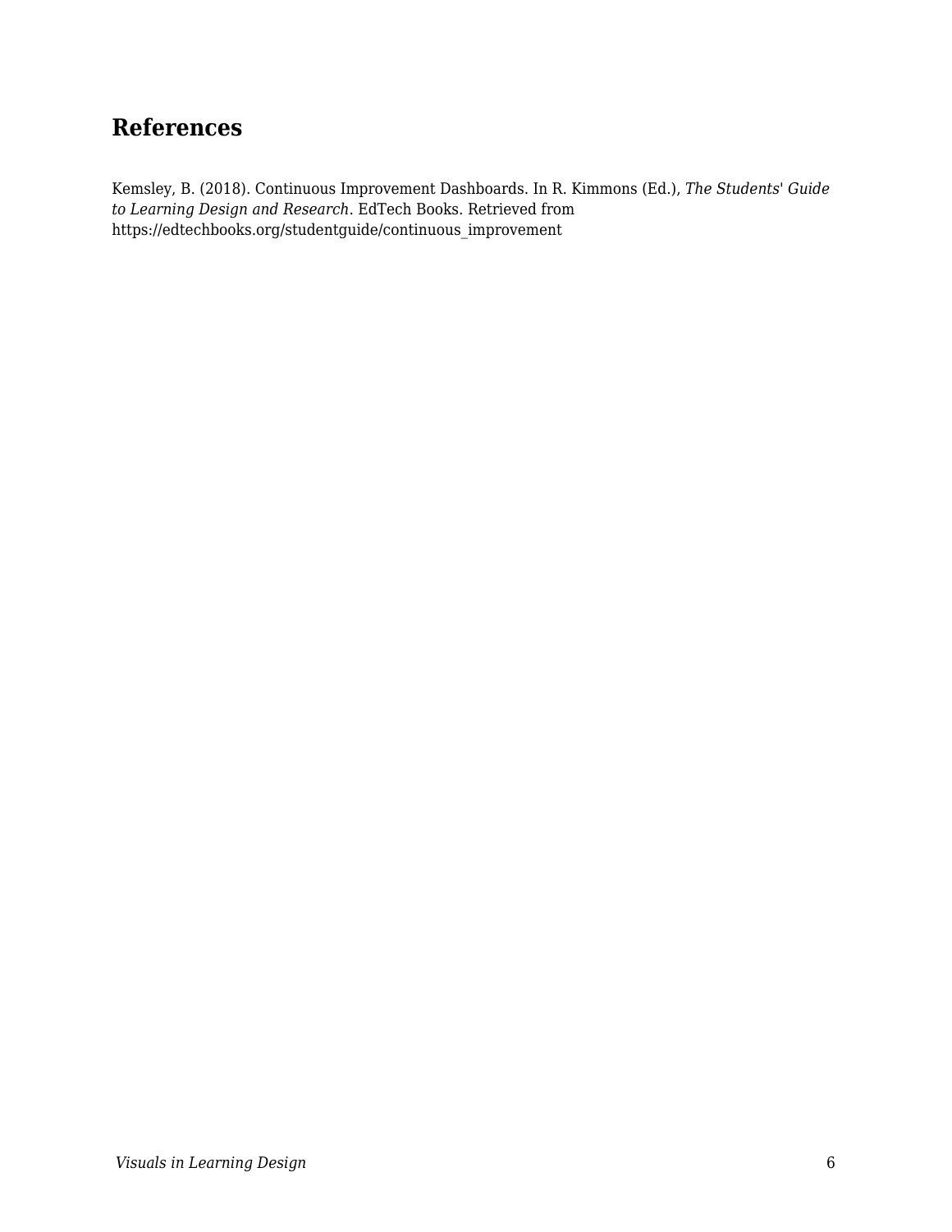### **References**

Kemsley, B. (2018). Continuous Improvement Dashboards. In R. Kimmons (Ed.), *The Students' Guide to Learning Design and Research*. EdTech Books. Retrieved from https://edtechbooks.org/studentguide/continuous\_improvement